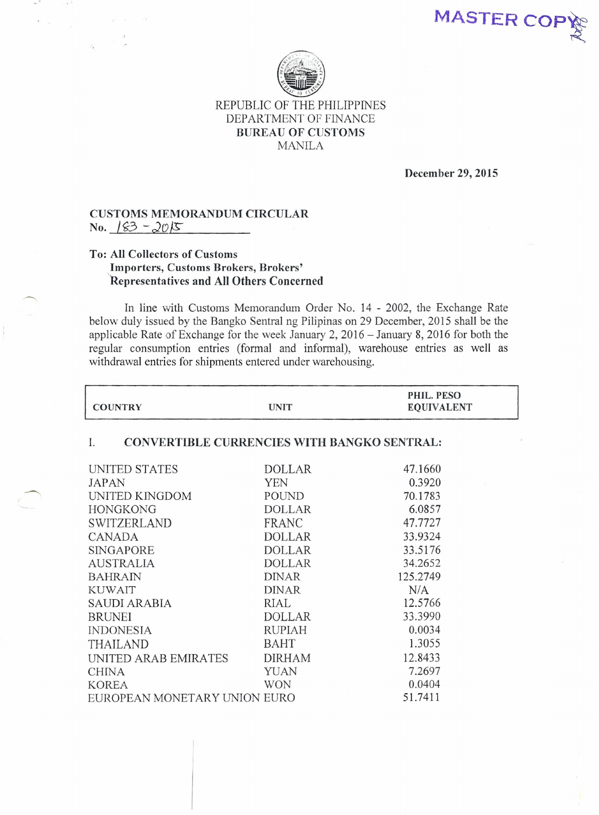MASTER COP



## REPUBLIC OF THE PHILIPPINES DEPARTMENT OF FINANCE BUREAU OF CUSTOMS MANILA

December 29, 2015

## CUSTOMS MEMORANDUM CIRCULAR No. 183 -2015

## To: All Collectors of Customs Importers, Customs Brokers, Brokers' 'Representatives and All Others Concerned

In line with Customs Memorandum Order No, 14 - 2002, the Exchange Rate below duly issued by the Bangko Sentral ng Pilipinas on 29 December, 2015 shall be the applicable Rate of Exchange for the week January 2, 2016 - January 8, 2016 for both the regular consumption entries (formal and informal), warehouse entries as well as withdrawal entries for shipments entered under warehousing.

| <b>COUNTRY</b>                                           | <b>UNIT</b>   | PHIL. PESO<br><b>EQUIVALENT</b> |  |  |
|----------------------------------------------------------|---------------|---------------------------------|--|--|
| <b>CONVERTIBLE CURRENCIES WITH BANGKO SENTRAL:</b><br>I. |               |                                 |  |  |
| UNITED STATES                                            | <b>DOLLAR</b> | 47.1660                         |  |  |
| JAPAN                                                    | <b>YEN</b>    | 0.3920                          |  |  |
| UNITED KINGDOM                                           | POUND         | 70.1783                         |  |  |
| <b>HONGKONG</b>                                          | <b>DOLLAR</b> | 6.0857                          |  |  |
| <b>SWITZERLAND</b>                                       | <b>FRANC</b>  | 47.7727                         |  |  |
| <b>CANADA</b>                                            | <b>DOLLAR</b> | 33.9324                         |  |  |
| <b>SINGAPORE</b>                                         | <b>DOLLAR</b> | 33.5176                         |  |  |
| <b>AUSTRALIA</b>                                         | <b>DOLLAR</b> | 34.2652                         |  |  |
| <b>BAHRAIN</b>                                           | <b>DINAR</b>  | 125.2749                        |  |  |
| <b>KUWAIT</b>                                            | <b>DINAR</b>  | N/A                             |  |  |
| <b>SAUDI ARABIA</b>                                      | RIAL          | 12.5766                         |  |  |
| <b>BRUNEI</b>                                            | <b>DOLLAR</b> | 33.3990                         |  |  |
| <b>INDONESIA</b>                                         | <b>RUPIAH</b> | 0.0034                          |  |  |
| <b>THAILAND</b>                                          | BAHT          | 1.3055                          |  |  |
| UNITED ARAB EMIRATES                                     | <b>DIRHAM</b> | 12.8433                         |  |  |
| <b>CHINA</b>                                             | YUAN          | 7.2697                          |  |  |
| <b>KOREA</b>                                             | <b>WON</b>    | 0.0404                          |  |  |
| EUROPEAN MONETARY UNION EURO                             |               | 51.7411                         |  |  |